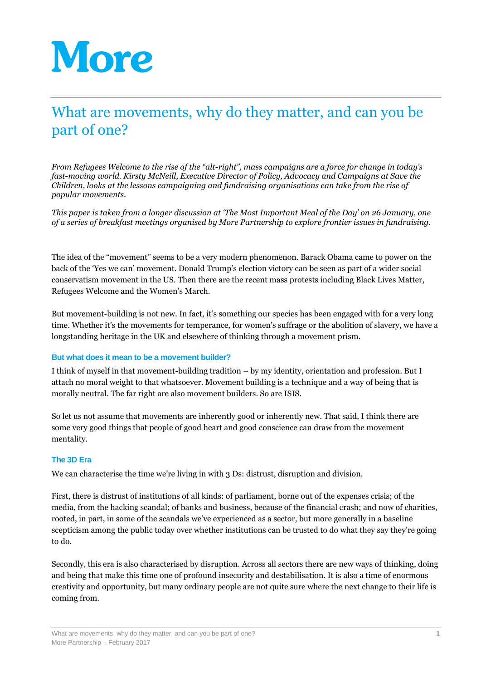# More

# What are movements, why do they matter, and can you be part of one?

*From Refugees Welcome to the rise of the "alt-right", mass campaigns are a force for change in today's fast-moving world. Kirsty McNeill, Executive Director of Policy, Advocacy and Campaigns at Save the Children, looks at the lessons campaigning and fundraising organisations can take from the rise of popular movements.*

*This paper is taken from a longer discussion at 'The Most Important Meal of the Day' on 26 January, one of a series of breakfast meetings organised by More Partnership to explore frontier issues in fundraising.*

The idea of the "movement" seems to be a very modern phenomenon. Barack Obama came to power on the back of the 'Yes we can' movement. Donald Trump's election victory can be seen as part of a wider social conservatism movement in the US. Then there are the recent mass protests including Black Lives Matter, Refugees Welcome and the Women's March.

But movement-building is not new. In fact, it's something our species has been engaged with for a very long time. Whether it's the movements for temperance, for women's suffrage or the abolition of slavery, we have a longstanding heritage in the UK and elsewhere of thinking through a movement prism.

#### **But what does it mean to be a movement builder?**

I think of myself in that movement-building tradition – by my identity, orientation and profession. But I attach no moral weight to that whatsoever. Movement building is a technique and a way of being that is morally neutral. The far right are also movement builders. So are ISIS.

So let us not assume that movements are inherently good or inherently new. That said, I think there are some very good things that people of good heart and good conscience can draw from the movement mentality.

#### **The 3D Era**

We can characterise the time we're living in with 3 Ds: distrust, disruption and division.

First, there is distrust of institutions of all kinds: of parliament, borne out of the expenses crisis; of the media, from the hacking scandal; of banks and business, because of the financial crash; and now of charities, rooted, in part, in some of the scandals we've experienced as a sector, but more generally in a baseline scepticism among the public today over whether institutions can be trusted to do what they say they're going to do.

Secondly, this era is also characterised by disruption. Across all sectors there are new ways of thinking, doing and being that make this time one of profound insecurity and destabilisation. It is also a time of enormous creativity and opportunity, but many ordinary people are not quite sure where the next change to their life is coming from.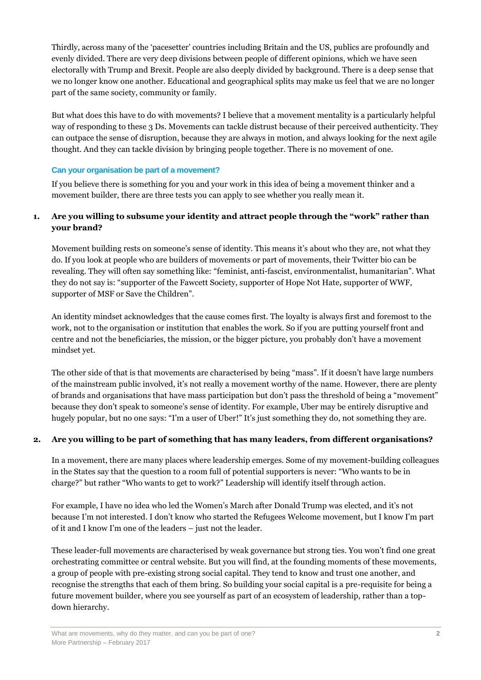Thirdly, across many of the 'pacesetter' countries including Britain and the US, publics are profoundly and evenly divided. There are very deep divisions between people of different opinions, which we have seen electorally with Trump and Brexit. People are also deeply divided by background. There is a deep sense that we no longer know one another. Educational and geographical splits may make us feel that we are no longer part of the same society, community or family.

But what does this have to do with movements? I believe that a movement mentality is a particularly helpful way of responding to these 3 Ds. Movements can tackle distrust because of their perceived authenticity. They can outpace the sense of disruption, because they are always in motion, and always looking for the next agile thought. And they can tackle division by bringing people together. There is no movement of one.

#### **Can your organisation be part of a movement?**

If you believe there is something for you and your work in this idea of being a movement thinker and a movement builder, there are three tests you can apply to see whether you really mean it.

## **1. Are you willing to subsume your identity and attract people through the "work" rather than your brand?**

Movement building rests on someone's sense of identity. This means it's about who they are, not what they do. If you look at people who are builders of movements or part of movements, their Twitter bio can be revealing. They will often say something like: "feminist, anti-fascist, environmentalist, humanitarian". What they do not say is: "supporter of the Fawcett Society, supporter of Hope Not Hate, supporter of WWF, supporter of MSF or Save the Children".

An identity mindset acknowledges that the cause comes first. The loyalty is always first and foremost to the work, not to the organisation or institution that enables the work. So if you are putting yourself front and centre and not the beneficiaries, the mission, or the bigger picture, you probably don't have a movement mindset yet.

The other side of that is that movements are characterised by being "mass". If it doesn't have large numbers of the mainstream public involved, it's not really a movement worthy of the name. However, there are plenty of brands and organisations that have mass participation but don't pass the threshold of being a "movement" because they don't speak to someone's sense of identity. For example, Uber may be entirely disruptive and hugely popular, but no one says: "I'm a user of Uber!" It's just something they do, not something they are.

#### **2. Are you willing to be part of something that has many leaders, from different organisations?**

In a movement, there are many places where leadership emerges. Some of my movement-building colleagues in the States say that the question to a room full of potential supporters is never: "Who wants to be in charge?" but rather "Who wants to get to work?" Leadership will identify itself through action.

For example, I have no idea who led the Women's March after Donald Trump was elected, and it's not because I'm not interested. I don't know who started the Refugees Welcome movement, but I know I'm part of it and I know I'm one of the leaders – just not the leader.

These leader-full movements are characterised by weak governance but strong ties. You won't find one great orchestrating committee or central website. But you will find, at the founding moments of these movements, a group of people with pre-existing strong social capital. They tend to know and trust one another, and recognise the strengths that each of them bring. So building your social capital is a pre-requisite for being a future movement builder, where you see yourself as part of an ecosystem of leadership, rather than a topdown hierarchy.